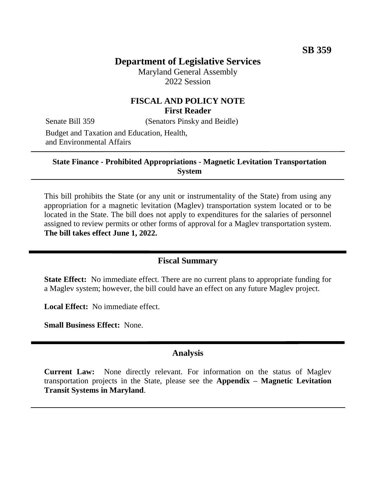# **Department of Legislative Services**

Maryland General Assembly 2022 Session

## **FISCAL AND POLICY NOTE First Reader**

Senate Bill 359 (Senators Pinsky and Beidle)

Budget and Taxation and Education, Health, and Environmental Affairs

#### **State Finance - Prohibited Appropriations - Magnetic Levitation Transportation System**

This bill prohibits the State (or any unit or instrumentality of the State) from using any appropriation for a magnetic levitation (Maglev) transportation system located or to be located in the State. The bill does not apply to expenditures for the salaries of personnel assigned to review permits or other forms of approval for a Maglev transportation system. **The bill takes effect June 1, 2022.**

## **Fiscal Summary**

**State Effect:** No immediate effect. There are no current plans to appropriate funding for a Maglev system; however, the bill could have an effect on any future Maglev project.

**Local Effect:** No immediate effect.

**Small Business Effect:** None.

## **Analysis**

**Current Law:** None directly relevant. For information on the status of Maglev transportation projects in the State, please see the **Appendix – Magnetic Levitation Transit Systems in Maryland**.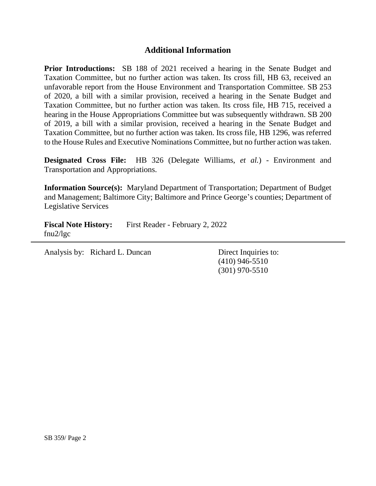## **Additional Information**

**Prior Introductions:** SB 188 of 2021 received a hearing in the Senate Budget and Taxation Committee, but no further action was taken. Its cross fill, HB 63, received an unfavorable report from the House Environment and Transportation Committee. SB 253 of 2020, a bill with a similar provision, received a hearing in the Senate Budget and Taxation Committee, but no further action was taken. Its cross file, HB 715, received a hearing in the House Appropriations Committee but was subsequently withdrawn. SB 200 of 2019, a bill with a similar provision, received a hearing in the Senate Budget and Taxation Committee, but no further action was taken. Its cross file, HB 1296, was referred to the House Rules and Executive Nominations Committee, but no further action was taken.

**Designated Cross File:** HB 326 (Delegate Williams, *et al.*) - Environment and Transportation and Appropriations.

**Information Source(s):** Maryland Department of Transportation; Department of Budget and Management; Baltimore City; Baltimore and Prince George's counties; Department of Legislative Services

**Fiscal Note History:** First Reader - February 2, 2022 fnu2/lgc

Analysis by: Richard L. Duncan Direct Inquiries to:

(410) 946-5510 (301) 970-5510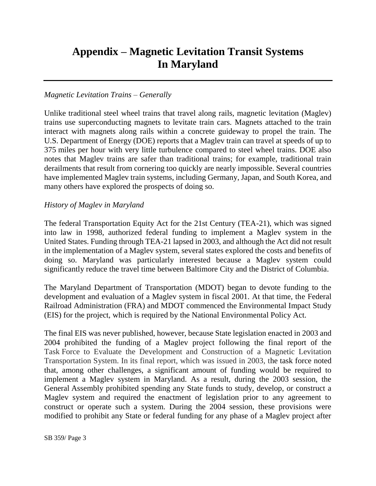# **Appendix – Magnetic Levitation Transit Systems In Maryland**

#### *Magnetic Levitation Trains – Generally*

Unlike traditional steel wheel trains that travel along rails, magnetic levitation (Maglev) trains use superconducting magnets to levitate train cars. Magnets attached to the train interact with magnets along rails within a concrete guideway to propel the train. The U.S. Department of Energy (DOE) reports that a Maglev train can travel at speeds of up to 375 miles per hour with very little turbulence compared to steel wheel trains. DOE also notes that Maglev trains are safer than traditional trains; for example, traditional train derailments that result from cornering too quickly are nearly impossible. Several countries have implemented Maglev train systems, including Germany, Japan, and South Korea, and many others have explored the prospects of doing so.

#### *History of Maglev in Maryland*

The federal Transportation Equity Act for the 21st Century (TEA-21), which was signed into law in 1998, authorized federal funding to implement a Maglev system in the United States. Funding through TEA-21 lapsed in 2003, and although the Act did not result in the implementation of a Maglev system, several states explored the costs and benefits of doing so. Maryland was particularly interested because a Maglev system could significantly reduce the travel time between Baltimore City and the District of Columbia.

The Maryland Department of Transportation (MDOT) began to devote funding to the development and evaluation of a Maglev system in fiscal 2001. At that time, the Federal Railroad Administration (FRA) and MDOT commenced the Environmental Impact Study (EIS) for the project, which is required by the National Environmental Policy Act.

The final EIS was never published, however, because State legislation enacted in 2003 and 2004 prohibited the funding of a Maglev project following the final report of the Task Force to Evaluate the Development and Construction of a Magnetic Levitation Transportation System. In its final report, which was issued in 2003, the task force noted that, among other challenges, a significant amount of funding would be required to implement a Maglev system in Maryland. As a result, during the 2003 session, the General Assembly prohibited spending any State funds to study, develop, or construct a Maglev system and required the enactment of legislation prior to any agreement to construct or operate such a system. During the 2004 session, these provisions were modified to prohibit any State or federal funding for any phase of a Maglev project after